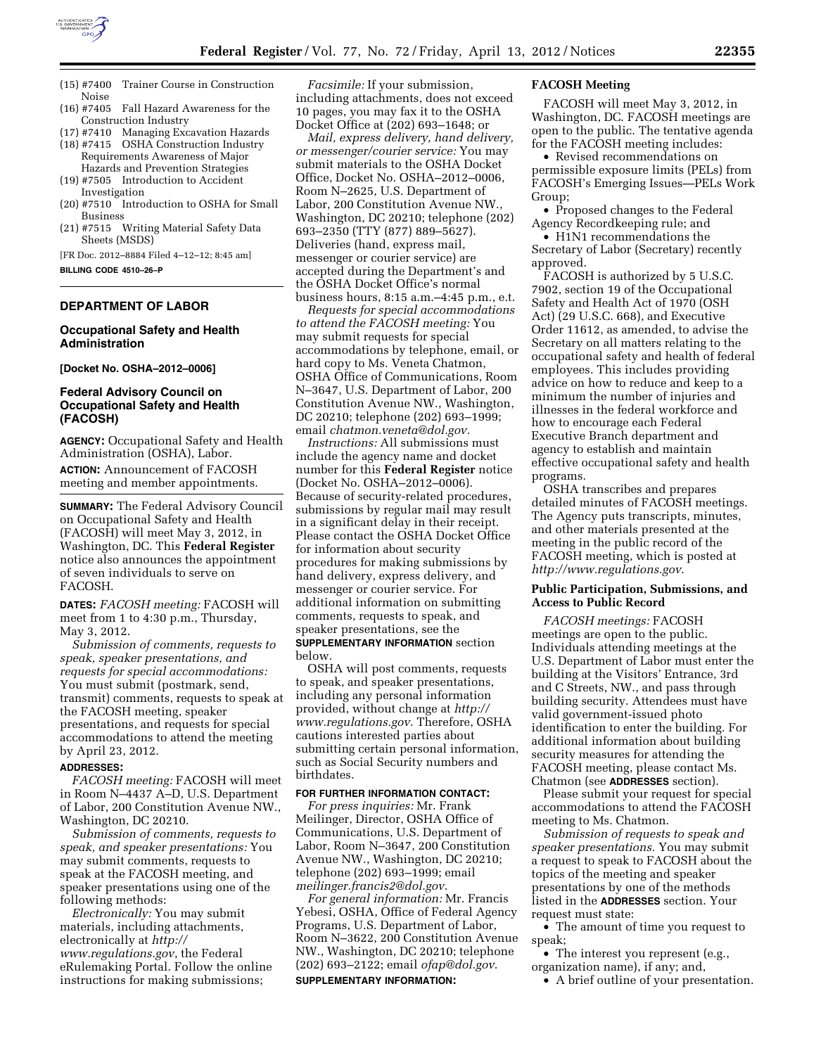

- (15) #7400 Trainer Course in Construction Noise
- (16) #7405 Fall Hazard Awareness for the Construction Industry
- (17) #7410 Managing Excavation Hazards
- (18) #7415 OSHA Construction Industry Requirements Awareness of Major Hazards and Prevention Strategies
- (19) #7505 Introduction to Accident Investigation
- (20) #7510 Introduction to OSHA for Small Business
- (21) #7515 Writing Material Safety Data Sheets (MSDS)

[FR Doc. 2012–8884 Filed 4–12–12; 8:45 am] **BILLING CODE 4510–26–P** 

# **DEPARTMENT OF LABOR**

### **Occupational Safety and Health Administration**

**[Docket No. OSHA–2012–0006]** 

# **Federal Advisory Council on Occupational Safety and Health (FACOSH)**

**AGENCY:** Occupational Safety and Health Administration (OSHA), Labor.

**ACTION:** Announcement of FACOSH meeting and member appointments.

**SUMMARY:** The Federal Advisory Council on Occupational Safety and Health (FACOSH) will meet May 3, 2012, in Washington, DC. This **Federal Register**  notice also announces the appointment of seven individuals to serve on FACOSH.

**DATES:** *FACOSH meeting:* FACOSH will meet from 1 to 4:30 p.m., Thursday, May 3, 2012.

*Submission of comments, requests to speak, speaker presentations, and requests for special accommodations:*  You must submit (postmark, send, transmit) comments, requests to speak at the FACOSH meeting, speaker presentations, and requests for special accommodations to attend the meeting by April 23, 2012.

#### **ADDRESSES:**

*FACOSH meeting:* FACOSH will meet in Room N–4437 A–D, U.S. Department of Labor, 200 Constitution Avenue NW., Washington, DC 20210.

*Submission of comments, requests to speak, and speaker presentations:* You may submit comments, requests to speak at the FACOSH meeting, and speaker presentations using one of the following methods:

*Electronically:* You may submit materials, including attachments, electronically at *[http://](http://www.regulations.gov) [www.regulations.gov](http://www.regulations.gov)*, the Federal eRulemaking Portal. Follow the online instructions for making submissions;

*Facsimile:* If your submission, including attachments, does not exceed 10 pages, you may fax it to the OSHA Docket Office at (202) 693–1648; or

*Mail, express delivery, hand delivery, or messenger/courier service:* You may submit materials to the OSHA Docket Office, Docket No. OSHA–2012–0006, Room N–2625, U.S. Department of Labor, 200 Constitution Avenue NW., Washington, DC 20210; telephone (202) 693–2350 (TTY (877) 889–5627). Deliveries (hand, express mail, messenger or courier service) are accepted during the Department's and the OSHA Docket Office's normal business hours, 8:15 a.m.–4:45 p.m., e.t.

*Requests for special accommodations to attend the FACOSH meeting:* You may submit requests for special accommodations by telephone, email, or hard copy to Ms. Veneta Chatmon, OSHA Office of Communications, Room N–3647, U.S. Department of Labor, 200 Constitution Avenue NW., Washington, DC 20210; telephone (202) 693–1999; email *[chatmon.veneta@dol.gov.](mailto:chatmon.veneta@dol.gov)* 

*Instructions:* All submissions must include the agency name and docket number for this **Federal Register** notice (Docket No. OSHA–2012–0006). Because of security-related procedures, submissions by regular mail may result in a significant delay in their receipt. Please contact the OSHA Docket Office for information about security procedures for making submissions by hand delivery, express delivery, and messenger or courier service. For additional information on submitting comments, requests to speak, and speaker presentations, see the **SUPPLEMENTARY INFORMATION** section below.

OSHA will post comments, requests to speak, and speaker presentations, including any personal information provided, without change at *[http://](http://www.regulations.gov) [www.regulations.gov](http://www.regulations.gov)*. Therefore, OSHA cautions interested parties about submitting certain personal information, such as Social Security numbers and birthdates.

#### **FOR FURTHER INFORMATION CONTACT:**

*For press inquiries:* Mr. Frank Meilinger, Director, OSHA Office of Communications, U.S. Department of Labor, Room N–3647, 200 Constitution Avenue NW., Washington, DC 20210; telephone (202) 693–1999; email *[meilinger.francis2@dol.gov](mailto:meilinger.francis2@dol.gov)*.

*For general information:* Mr. Francis Yebesi, OSHA, Office of Federal Agency Programs, U.S. Department of Labor, Room N–3622, 200 Constitution Avenue NW., Washington, DC 20210; telephone (202) 693–2122; email *[ofap@dol.gov](mailto:ofap@dol.gov)*. **SUPPLEMENTARY INFORMATION:** 

### **FACOSH Meeting**

FACOSH will meet May 3, 2012, in Washington, DC. FACOSH meetings are open to the public. The tentative agenda for the FACOSH meeting includes:

• Revised recommendations on permissible exposure limits (PELs) from FACOSH's Emerging Issues—PELs Work Group;

• Proposed changes to the Federal Agency Recordkeeping rule; and

• H<sub>1</sub>N<sub>1</sub> recommendations the Secretary of Labor (Secretary) recently approved.

FACOSH is authorized by 5 U.S.C. 7902, section 19 of the Occupational Safety and Health Act of 1970 (OSH Act) (29 U.S.C. 668), and Executive Order 11612, as amended, to advise the Secretary on all matters relating to the occupational safety and health of federal employees. This includes providing advice on how to reduce and keep to a minimum the number of injuries and illnesses in the federal workforce and how to encourage each Federal Executive Branch department and agency to establish and maintain effective occupational safety and health programs.

OSHA transcribes and prepares detailed minutes of FACOSH meetings. The Agency puts transcripts, minutes, and other materials presented at the meeting in the public record of the FACOSH meeting, which is posted at *<http://www.regulations.gov>*.

### **Public Participation, Submissions, and Access to Public Record**

*FACOSH meetings:* FACOSH meetings are open to the public. Individuals attending meetings at the U.S. Department of Labor must enter the building at the Visitors' Entrance, 3rd and C Streets, NW., and pass through building security. Attendees must have valid government-issued photo identification to enter the building. For additional information about building security measures for attending the FACOSH meeting, please contact Ms. Chatmon (see **ADDRESSES** section).

Please submit your request for special accommodations to attend the FACOSH meeting to Ms. Chatmon.

*Submission of requests to speak and speaker presentations.* You may submit a request to speak to FACOSH about the topics of the meeting and speaker presentations by one of the methods listed in the **ADDRESSES** section. Your request must state:

• The amount of time you request to speak;

• The interest you represent (e.g., organization name), if any; and,

• A brief outline of your presentation.